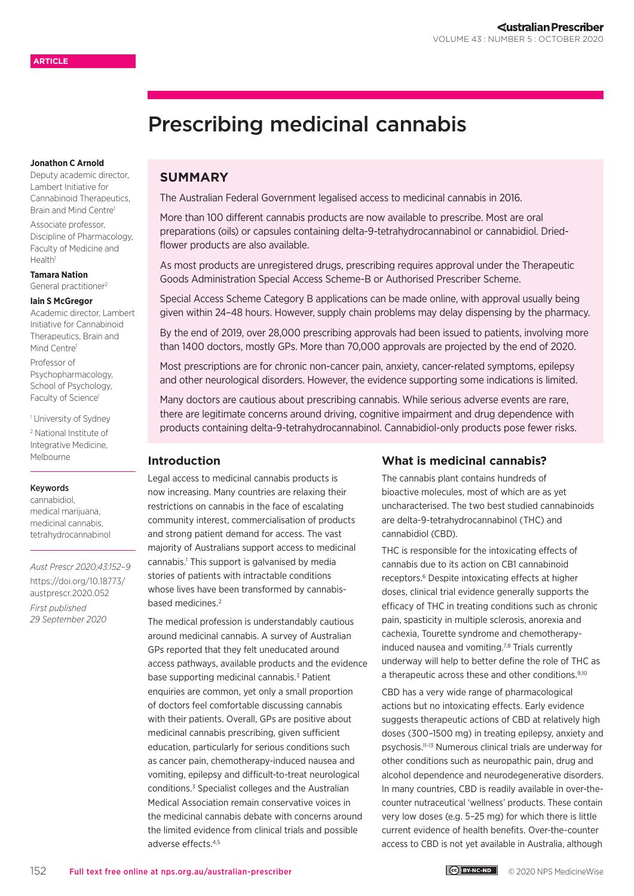# Prescribing medicinal cannabis

#### **Jonathon C Arnold**

Deputy academic director, Lambert Initiative for Cannabinoid Therapeutics, Brain and Mind Centre<sup>1</sup>

Associate professor, Discipline of Pharmacology, Faculty of Medicine and Health1

**Tamara Nation** General practitioner2

#### **Iain S McGregor**

Academic director, Lambert Initiative for Cannabinoid Therapeutics, Brain and Mind Centrel

Professor of Psychopharmacology, School of Psychology, Faculty of Science<sup>1</sup>

1 University of Sydney

2 National Institute of Integrative Medicine, Melbourne

#### Keywords

cannabidiol, medical marijuana, medicinal cannabis, tetrahydrocannabinol

*Aust Prescr 2020;43:152–9* [https://doi.org/10.18773/](https://doi.org/10.18773/austprescr.2020.052) [austprescr.2020.052](https://doi.org/10.18773/austprescr.2020.052) *First published 29 September 2020*

# **SUMMARY**

The Australian Federal Government legalised access to medicinal cannabis in 2016.

More than 100 different cannabis products are now available to prescribe. Most are oral preparations (oils) or capsules containing delta-9-tetrahydrocannabinol or cannabidiol. Driedflower products are also available.

As most products are unregistered drugs, prescribing requires approval under the Therapeutic Goods Administration Special Access Scheme-B or Authorised Prescriber Scheme.

Special Access Scheme Category B applications can be made online, with approval usually being given within 24–48 hours. However, supply chain problems may delay dispensing by the pharmacy.

By the end of 2019, over 28,000 prescribing approvals had been issued to patients, involving more than 1400 doctors, mostly GPs. More than 70,000 approvals are projected by the end of 2020.

Most prescriptions are for chronic non-cancer pain, anxiety, cancer-related symptoms, epilepsy and other neurological disorders. However, the evidence supporting some indications is limited.

Many doctors are cautious about prescribing cannabis. While serious adverse events are rare, there are legitimate concerns around driving, cognitive impairment and drug dependence with products containing delta-9-tetrahydrocannabinol. Cannabidiol-only products pose fewer risks.

## **Introduction**

Legal access to medicinal cannabis products is now increasing. Many countries are relaxing their restrictions on cannabis in the face of escalating community interest, commercialisation of products and strong patient demand for access. The vast majority of Australians support access to medicinal cannabis.<sup>1</sup> This support is galvanised by media stories of patients with intractable conditions whose lives have been transformed by cannabisbased medicines.<sup>2</sup>

The medical profession is understandably cautious around medicinal cannabis. A survey of Australian GPs reported that they felt uneducated around access pathways, available products and the evidence base supporting medicinal cannabis.<sup>3</sup> Patient enquiries are common, yet only a small proportion of doctors feel comfortable discussing cannabis with their patients. Overall, GPs are positive about medicinal cannabis prescribing, given sufficient education, particularly for serious conditions such as cancer pain, chemotherapy-induced nausea and vomiting, epilepsy and difficult-to-treat neurological conditions.<sup>3</sup> Specialist colleges and the Australian Medical Association remain conservative voices in the medicinal cannabis debate with concerns around the limited evidence from clinical trials and possible adverse effects.4,5

# **What is medicinal cannabis?**

The cannabis plant contains hundreds of bioactive molecules, most of which are as yet uncharacterised. The two best studied cannabinoids are delta-9-tetrahydrocannabinol (THC) and cannabidiol (CBD).

THC is responsible for the intoxicating effects of cannabis due to its action on CB1 cannabinoid receptors.<sup>6</sup> Despite intoxicating effects at higher doses, clinical trial evidence generally supports the efficacy of THC in treating conditions such as chronic pain, spasticity in multiple sclerosis, anorexia and cachexia, Tourette syndrome and chemotherapyinduced nausea and vomiting.<sup>7,8</sup> Trials currently underway will help to better define the role of THC as a therapeutic across these and other conditions.<sup>9,10</sup>

CBD has a very wide range of pharmacological actions but no intoxicating effects. Early evidence suggests therapeutic actions of CBD at relatively high doses (300–1500 mg) in treating epilepsy, anxiety and psychosis.11-13 Numerous clinical trials are underway for other conditions such as neuropathic pain, drug and alcohol dependence and neurodegenerative disorders. In many countries, CBD is readily available in over-thecounter nutraceutical 'wellness' products. These contain very low doses (e.g. 5–25 mg) for which there is little current evidence of health benefits. Over-the-counter access to CBD is not yet available in Australia, although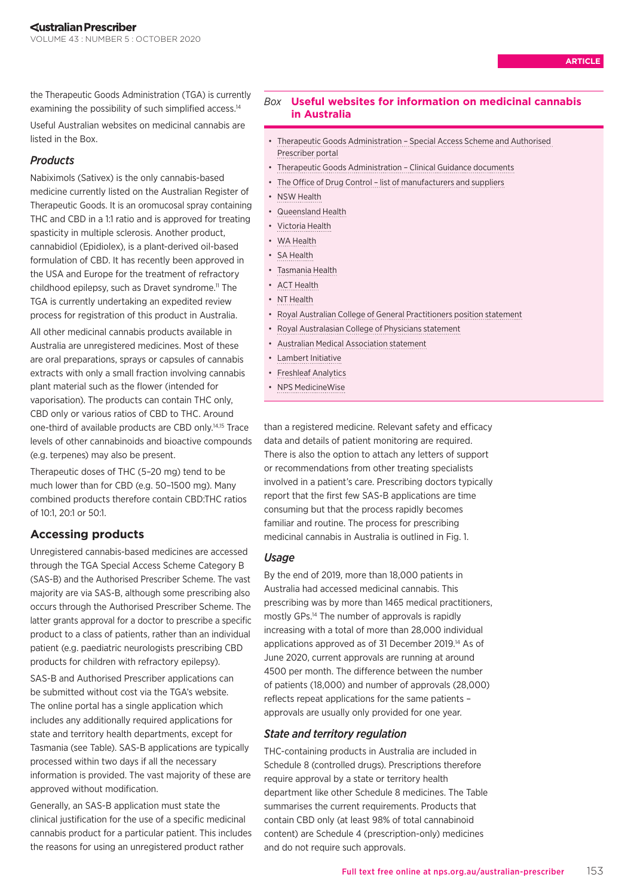the Therapeutic Goods Administration (TGA) is currently examining the possibility of such simplified access.<sup>14</sup>

Useful Australian websites on medicinal cannabis are listed in the Box.

# *Products*

Nabiximols (Sativex) is the only cannabis-based medicine currently listed on the Australian Register of Therapeutic Goods. It is an oromucosal spray containing THC and CBD in a 1:1 ratio and is approved for treating spasticity in multiple sclerosis. Another product, cannabidiol (Epidiolex), is a plant-derived oil-based formulation of CBD. It has recently been approved in the USA and Europe for the treatment of refractory childhood epilepsy, such as Dravet syndrome.<sup>11</sup> The TGA is currently undertaking an expedited review process for registration of this product in Australia.

All other medicinal cannabis products available in Australia are unregistered medicines. Most of these are oral preparations, sprays or capsules of cannabis extracts with only a small fraction involving cannabis plant material such as the flower (intended for vaporisation). The products can contain THC only, CBD only or various ratios of CBD to THC. Around one-third of available products are CBD only.14,15 Trace levels of other cannabinoids and bioactive compounds (e.g. terpenes) may also be present.

Therapeutic doses of THC (5–20 mg) tend to be much lower than for CBD (e.g. 50–1500 mg). Many combined products therefore contain CBD:THC ratios of 10:1, 20:1 or 50:1.

# **Accessing products**

Unregistered cannabis-based medicines are accessed through the TGA Special Access Scheme Category B (SAS-B) and the Authorised Prescriber Scheme. The vast majority are via SAS-B, although some prescribing also occurs through the Authorised Prescriber Scheme. The latter grants approval for a doctor to prescribe a specific product to a class of patients, rather than an individual patient (e.g. paediatric neurologists prescribing CBD products for children with refractory epilepsy).

SAS-B and Authorised Prescriber applications can be submitted without cost via the TGA's website. The online portal has a single application which includes any additionally required applications for state and territory health departments, except for Tasmania (see Table). SAS-B applications are typically processed within two days if all the necessary information is provided. The vast majority of these are approved without modification.

Generally, an SAS-B application must state the clinical justification for the use of a specific medicinal cannabis product for a particular patient. This includes the reasons for using an unregistered product rather

## *Box* **Useful websites for information on medicinal cannabis in Australia**

- [Therapeutic Goods Administration Special Access Scheme and Authorised](https://sas.tga.gov.au)  [Prescriber portal](https://sas.tga.gov.au)
- [Therapeutic Goods Administration Clinical Guidance documents](http://www.tga.gov.au/medicinal-cannabis-guidance-documents)
- [The Office of Drug Control list of manufacturers and suppliers](http://www.odc.gov.au/manufacturers-and-suppliers-medicinal-cannabis-products)
- [NSW Health](https://www.health.nsw.gov.au/pharmaceutical/cannabismedicines/Pages/default.aspx)
- [Queensland Health](https://www.health.qld.gov.au/public-health/topics/medicinal-cannabis/prescribing)
- [Victoria Health](https://www2.health.vic.gov.au/about/publications/Factsheets/medicinal-cannabis-access-practitioners)
- [WA Health](https://ww2.health.wa.gov.au/Articles/A_E/Cannabis-based-products)
- [SA Health](https://www.sahealth.sa.gov.au/wps/wcm/connect/public+content/sa+health+internet/conditions/medicines/medicinal+cannabis/medicinal+cannabis+patient+access+in+south+australia)
- [Tasmania Health](https://www.dhhs.tas.gov.au/psbtas/publications/medical_cannabis/medical_cannabis_controlled_access_scheme)
- [ACT Health](https://www.health.act.gov.au/health-professionals/pharmaceutical-services/controlled-medicines/medicinal-cannabis)
- [NT Health](https://health.nt.gov.au/professionals/medicines-and-poisons-control2/therapeutic-medicines-containing-cannabinoids-medicinal-cannabis)
- [Royal Australian College of General Practitioners position statement](https://www.racgp.org.au/advocacy/position-statements/view-all-position-statements/clinical-and-practice-management/medical-cannabis)
- [Royal Australasian College of Physicians statement](https://www.racp.edu.au/news-and-events/media-releases/medicinal-cannabis-the-challenge-for-physicians)
- [Australian Medical Association statement](https://ama.com.au/position-statement/cannabis-use-and-health-2014)
- [Lambert Initiative](https://www.sydney.edu.au/lambert/)
- [Freshleaf Analytics](https://freshleafanalytics.com.au/reports/)
- [NPS MedicineWise](https://www.nps.org.au/professionals/medicinal-cannabis-what-you-need-to-know)

than a registered medicine. Relevant safety and efficacy data and details of patient monitoring are required. There is also the option to attach any letters of support or recommendations from other treating specialists involved in a patient's care. Prescribing doctors typically report that the first few SAS-B applications are time consuming but that the process rapidly becomes familiar and routine. The process for prescribing medicinal cannabis in Australia is outlined in Fig. 1.

## *Usage*

By the end of 2019, more than 18,000 patients in Australia had accessed medicinal cannabis. This prescribing was by more than 1465 medical practitioners, mostly GPs.14 The number of approvals is rapidly increasing with a total of more than 28,000 individual applications approved as of 31 December 2019.14 As of June 2020, current approvals are running at around 4500 per month. The difference between the number of patients (18,000) and number of approvals (28,000) reflects repeat applications for the same patients – approvals are usually only provided for one year.

## *State and territory regulation*

THC-containing products in Australia are included in Schedule 8 (controlled drugs). Prescriptions therefore require approval by a state or territory health department like other Schedule 8 medicines. The Table summarises the current requirements. Products that contain CBD only (at least 98% of total cannabinoid content) are Schedule 4 (prescription-only) medicines and do not require such approvals.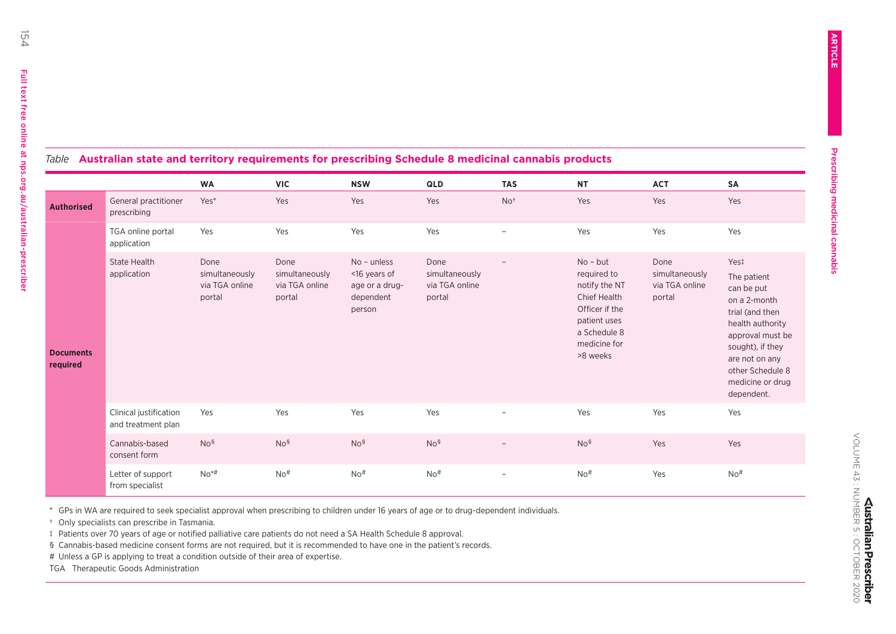| Table Australian state and territory requirements for prescribing Schedule 8 medicinal cannabis products |                                              |                                                    |                                                    |                                                                      |                                                    |                          |                                                                                                                                                 |                                                    |                                                                                                                                                                                                          |
|----------------------------------------------------------------------------------------------------------|----------------------------------------------|----------------------------------------------------|----------------------------------------------------|----------------------------------------------------------------------|----------------------------------------------------|--------------------------|-------------------------------------------------------------------------------------------------------------------------------------------------|----------------------------------------------------|----------------------------------------------------------------------------------------------------------------------------------------------------------------------------------------------------------|
|                                                                                                          |                                              | <b>WA</b>                                          | <b>VIC</b>                                         | <b>NSW</b>                                                           | QLD                                                | <b>TAS</b>               | <b>NT</b>                                                                                                                                       | <b>ACT</b>                                         | <b>SA</b>                                                                                                                                                                                                |
| <b>Authorised</b>                                                                                        | General practitioner<br>prescribing          | Yes*                                               | Yes                                                | Yes                                                                  | Yes                                                | No <sup>†</sup>          | Yes                                                                                                                                             | Yes                                                | Yes                                                                                                                                                                                                      |
| <b>Documents</b><br>required                                                                             | TGA online portal<br>application             | Yes                                                | Yes                                                | Yes                                                                  | Yes                                                | $\overline{\phantom{0}}$ | Yes                                                                                                                                             | Yes                                                | Yes                                                                                                                                                                                                      |
|                                                                                                          | <b>State Health</b><br>application           | Done<br>simultaneously<br>via TGA online<br>portal | Done<br>simultaneously<br>via TGA online<br>portal | No - unless<br><16 years of<br>age or a drug-<br>dependent<br>person | Done<br>simultaneously<br>via TGA online<br>portal |                          | $No - but$<br>required to<br>notify the NT<br><b>Chief Health</b><br>Officer if the<br>patient uses<br>a Schedule 8<br>medicine for<br>>8 weeks | Done<br>simultaneously<br>via TGA online<br>portal | Yest<br>The patient<br>can be put<br>on a 2-month<br>trial (and then<br>health authority<br>approval must be<br>sought), if they<br>are not on any<br>other Schedule 8<br>medicine or drug<br>dependent. |
|                                                                                                          | Clinical justification<br>and treatment plan | Yes                                                | Yes                                                | Yes                                                                  | Yes                                                | $\overline{\phantom{0}}$ | Yes                                                                                                                                             | Yes                                                | Yes                                                                                                                                                                                                      |
|                                                                                                          | Cannabis-based<br>consent form               | No <sup>§</sup>                                    | No <sup>§</sup>                                    | No <sup>§</sup>                                                      | No <sup>§</sup>                                    | $\overline{\phantom{0}}$ | No <sup>§</sup>                                                                                                                                 | Yes                                                | Yes                                                                                                                                                                                                      |
|                                                                                                          | Letter of support<br>from specialist         | $No*#$                                             | No#                                                | No#                                                                  | No#                                                |                          | No#                                                                                                                                             | Yes                                                | No#                                                                                                                                                                                                      |

\* GPs in WA are required to seek specialist approval when prescribing to children under 16 years of age or to drug-dependent individuals.

† Only specialists can prescribe in Tasmania.

‡ Patients over 70 years of age or notified palliative care patients do not need a SA Health Schedule 8 approval.

§ Cannabis-based medicine consent forms are not required, but it is recommended to have one in the patient's records.

# Unless a GP is applying to treat a condition outside of their area of expertise.

TGA Therapeutic Goods Administration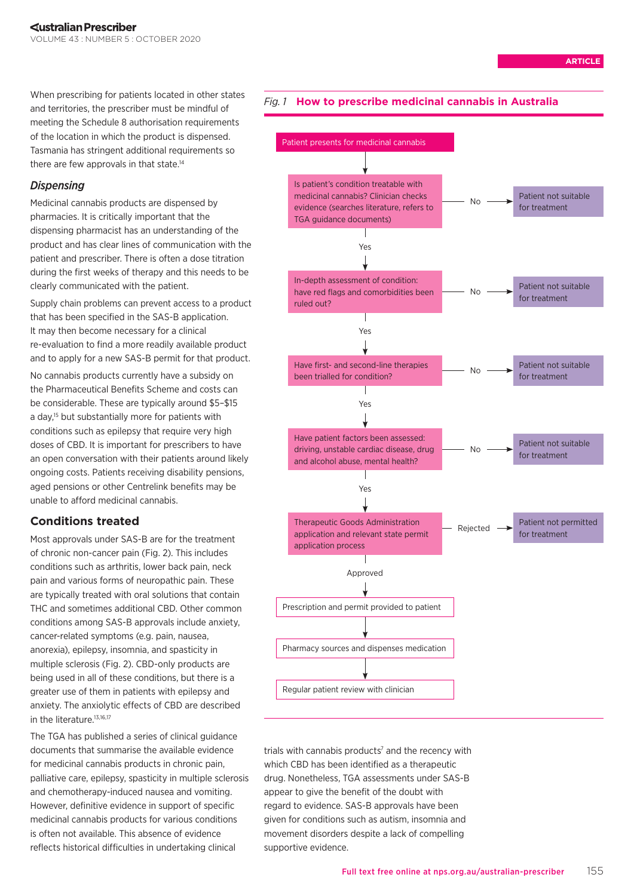When prescribing for patients located in other states and territories, the prescriber must be mindful of meeting the Schedule 8 authorisation requirements of the location in which the product is dispensed. Tasmania has stringent additional requirements so there are few approvals in that state.<sup>14</sup>

# *Dispensing*

Medicinal cannabis products are dispensed by pharmacies. It is critically important that the dispensing pharmacist has an understanding of the product and has clear lines of communication with the patient and prescriber. There is often a dose titration during the first weeks of therapy and this needs to be clearly communicated with the patient.

Supply chain problems can prevent access to a product that has been specified in the SAS-B application. It may then become necessary for a clinical re-evaluation to find a more readily available product and to apply for a new SAS-B permit for that product. No cannabis products currently have a subsidy on the Pharmaceutical Benefits Scheme and costs can

be considerable. These are typically around \$5–\$15 a day,<sup>15</sup> but substantially more for patients with conditions such as epilepsy that require very high doses of CBD. It is important for prescribers to have an open conversation with their patients around likely ongoing costs. Patients receiving disability pensions, aged pensions or other Centrelink benefits may be unable to afford medicinal cannabis.

# **Conditions treated**

Most approvals under SAS-B are for the treatment of chronic non-cancer pain (Fig. 2). This includes conditions such as arthritis, lower back pain, neck pain and various forms of neuropathic pain. These are typically treated with oral solutions that contain THC and sometimes additional CBD. Other common conditions among SAS-B approvals include anxiety, cancer-related symptoms (e.g. pain, nausea, anorexia), epilepsy, insomnia, and spasticity in multiple sclerosis (Fig. 2). CBD-only products are being used in all of these conditions, but there is a greater use of them in patients with epilepsy and anxiety. The anxiolytic effects of CBD are described in the literature.<sup>13,16,17</sup>

The TGA has published a series of clinical guidance documents that summarise the available evidence for medicinal cannabis products in chronic pain, palliative care, epilepsy, spasticity in multiple sclerosis and chemotherapy-induced nausea and vomiting. However, definitive evidence in support of specific medicinal cannabis products for various conditions is often not available. This absence of evidence reflects historical difficulties in undertaking clinical

# *Fig. 1* **How to prescribe medicinal cannabis in Australia**



trials with cannabis products $<sup>7</sup>$  and the recency with</sup> which CBD has been identified as a therapeutic drug. Nonetheless, TGA assessments under SAS-B appear to give the benefit of the doubt with regard to evidence. SAS-B approvals have been given for conditions such as autism, insomnia and movement disorders despite a lack of compelling supportive evidence.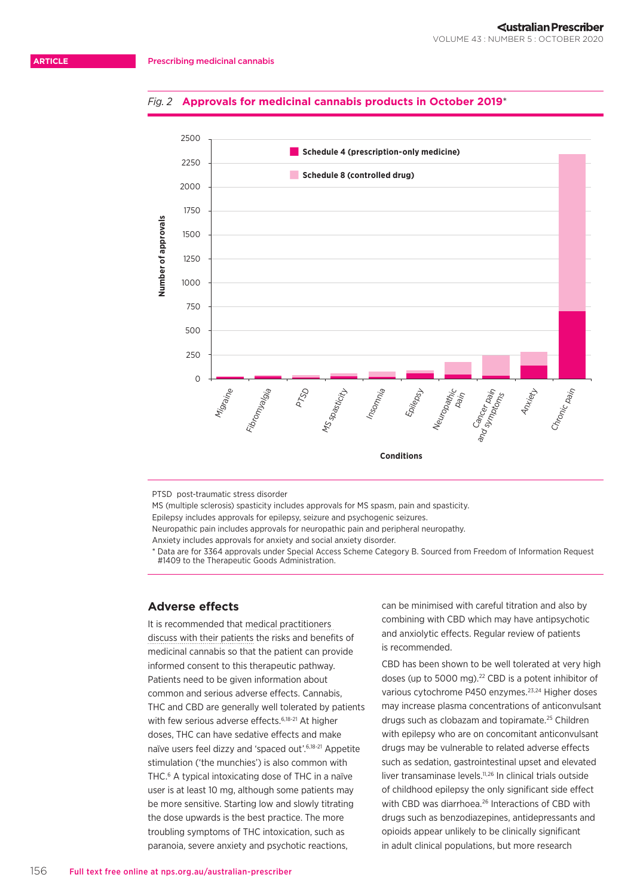## *Fig. 2* **Approvals for medicinal cannabis products in October 2019**\*



PTSD post-traumatic stress disorder

MS (multiple sclerosis) spasticity includes approvals for MS spasm, pain and spasticity. Epilepsy includes approvals for epilepsy, seizure and psychogenic seizures. Neuropathic pain includes approvals for neuropathic pain and peripheral neuropathy.

Anxiety includes approvals for anxiety and social anxiety disorder.

\* Data are for 3364 approvals under Special Access Scheme Category B. Sourced from Freedom of Information Request #1409 to the Therapeutic Goods Administration.

# **Adverse effects**

It is recommended that [medical practitioners](https://www.medicinalcannabis.nsw.gov.au/health-professionals/your-patient)  [discuss with their patients](https://www.medicinalcannabis.nsw.gov.au/health-professionals/your-patient) the risks and benefits of medicinal cannabis so that the patient can provide informed consent to this therapeutic pathway. Patients need to be given information about common and serious adverse effects. Cannabis, THC and CBD are generally well tolerated by patients with few serious adverse effects.<sup>6,18-21</sup> At higher doses, THC can have sedative effects and make naïve users feel dizzy and 'spaced out'.6,18-21 Appetite stimulation ('the munchies') is also common with THC.6 A typical intoxicating dose of THC in a naïve user is at least 10 mg, although some patients may be more sensitive. Starting low and slowly titrating the dose upwards is the best practice. The more troubling symptoms of THC intoxication, such as paranoia, severe anxiety and psychotic reactions,

can be minimised with careful titration and also by combining with CBD which may have antipsychotic and anxiolytic effects. Regular review of patients is recommended.

CBD has been shown to be well tolerated at very high doses (up to 5000 mg).<sup>22</sup> CBD is a potent inhibitor of various cytochrome P450 enzymes.<sup>23,24</sup> Higher doses may increase plasma concentrations of anticonvulsant drugs such as clobazam and topiramate.25 Children with epilepsy who are on concomitant anticonvulsant drugs may be vulnerable to related adverse effects such as sedation, gastrointestinal upset and elevated liver transaminase levels.11,26 In clinical trials outside of childhood epilepsy the only significant side effect with CBD was diarrhoea.<sup>26</sup> Interactions of CBD with drugs such as benzodiazepines, antidepressants and opioids appear unlikely to be clinically significant in adult clinical populations, but more research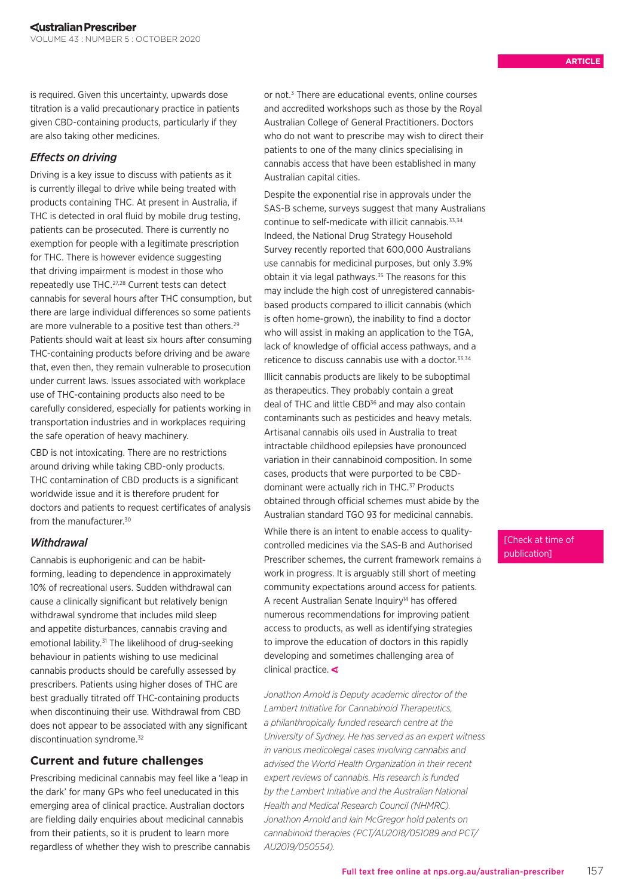is required. Given this uncertainty, upwards dose titration is a valid precautionary practice in patients given CBD-containing products, particularly if they are also taking other medicines.

# *Effects on driving*

Driving is a key issue to discuss with patients as it is currently illegal to drive while being treated with products containing THC. At present in Australia, if THC is detected in oral fluid by mobile drug testing, patients can be prosecuted. There is currently no exemption for people with a legitimate prescription for THC. There is however evidence suggesting that driving impairment is modest in those who repeatedly use THC.27,28 Current tests can detect cannabis for several hours after THC consumption, but there are large individual differences so some patients are more vulnerable to a positive test than others.<sup>29</sup> Patients should wait at least six hours after consuming THC-containing products before driving and be aware that, even then, they remain vulnerable to prosecution under current laws. Issues associated with workplace use of THC-containing products also need to be carefully considered, especially for patients working in transportation industries and in workplaces requiring the safe operation of heavy machinery.

CBD is not intoxicating. There are no restrictions around driving while taking CBD-only products. THC contamination of CBD products is a significant worldwide issue and it is therefore prudent for doctors and patients to request certificates of analysis from the manufacturer.30

# *Withdrawal*

Cannabis is euphorigenic and can be habitforming, leading to dependence in approximately 10% of recreational users. Sudden withdrawal can cause a clinically significant but relatively benign withdrawal syndrome that includes mild sleep and appetite disturbances, cannabis craving and emotional lability.<sup>31</sup> The likelihood of drug-seeking behaviour in patients wishing to use medicinal cannabis products should be carefully assessed by prescribers. Patients using higher doses of THC are best gradually titrated off THC-containing products when discontinuing their use. Withdrawal from CBD does not appear to be associated with any significant discontinuation syndrome.<sup>32</sup>

# **Current and future challenges**

Prescribing medicinal cannabis may feel like a 'leap in the dark' for many GPs who feel uneducated in this emerging area of clinical practice. Australian doctors are fielding daily enquiries about medicinal cannabis from their patients, so it is prudent to learn more regardless of whether they wish to prescribe cannabis

or not.<sup>3</sup> There are educational events, online courses and accredited workshops such as those by the Royal Australian College of General Practitioners. Doctors who do not want to prescribe may wish to direct their patients to one of the many clinics specialising in cannabis access that have been established in many Australian capital cities.

Despite the exponential rise in approvals under the SAS-B scheme, surveys suggest that many Australians continue to self-medicate with illicit cannabis.<sup>33,34</sup> Indeed, the National Drug Strategy Household Survey recently reported that 600,000 Australians use cannabis for medicinal purposes, but only 3.9% obtain it via legal pathways.<sup>35</sup> The reasons for this may include the high cost of unregistered cannabisbased products compared to illicit cannabis (which is often home-grown), the inability to find a doctor who will assist in making an application to the TGA, lack of knowledge of official access pathways, and a reticence to discuss cannabis use with a doctor.<sup>33,34</sup>

Illicit cannabis products are likely to be suboptimal as therapeutics. They probably contain a great deal of THC and little CBD<sup>36</sup> and may also contain contaminants such as pesticides and heavy metals. Artisanal cannabis oils used in Australia to treat intractable childhood epilepsies have pronounced variation in their cannabinoid composition. In some cases, products that were purported to be CBDdominant were actually rich in THC.<sup>37</sup> Products obtained through official schemes must abide by the Australian standard TGO 93 for medicinal cannabis.

While there is an intent to enable access to qualitycontrolled medicines via the SAS-B and Authorised Prescriber schemes, the current framework remains a work in progress. It is arguably still short of meeting community expectations around access for patients. A recent Australian Senate Inquiry<sup>14</sup> has offered numerous recommendations for improving patient access to products, as well as identifying strategies to improve the education of doctors in this rapidly developing and sometimes challenging area of clinical practice.  $\triangleleft$ 

*Jonathon Arnold is Deputy academic director of the Lambert Initiative for Cannabinoid Therapeutics, a philanthropically funded research centre at the University of Sydney. He has served as an expert witness in various medicolegal cases involving cannabis and advised the World Health Organization in their recent expert reviews of cannabis. His research is funded by the Lambert Initiative and the Australian National Health and Medical Research Council (NHMRC). Jonathon Arnold and Iain McGregor hold patents on cannabinoid therapies (PCT/AU2018/051089 and PCT/ AU2019/050554).*

# [Check at time of publication]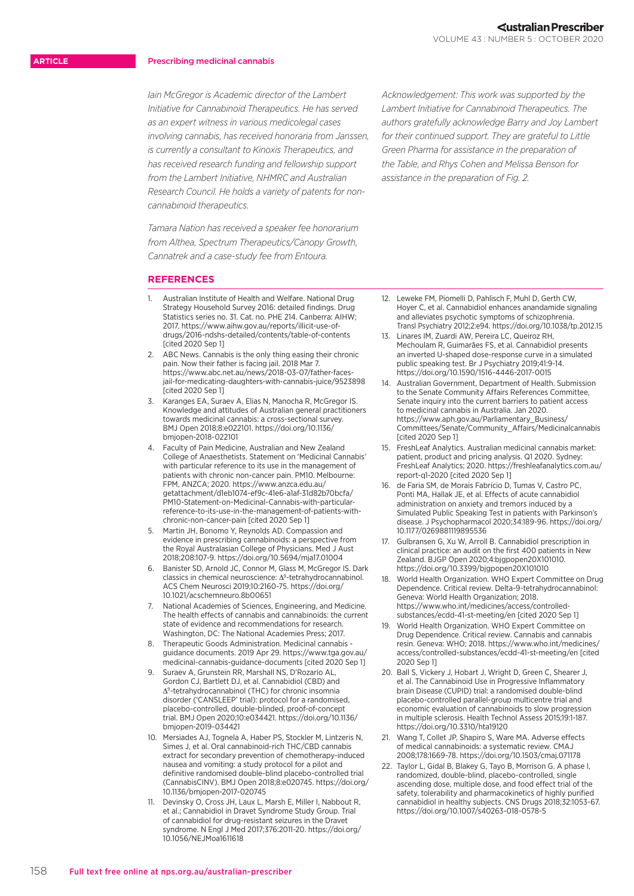### **ARTICLE**

#### Prescribing medicinal cannabis

*Iain McGregor is Academic director of the Lambert Initiative for Cannabinoid Therapeutics. He has served as an expert witness in various medicolegal cases involving cannabis, has received honoraria from Janssen, is currently a consultant to Kinoxis Therapeutics, and has received research funding and fellowship support from the Lambert Initiative, NHMRC and Australian Research Council. He holds a variety of patents for noncannabinoid therapeutics.*

*Tamara Nation has received a speaker fee honorarium from Althea, Spectrum Therapeutics/Canopy Growth, Cannatrek and a case-study fee from Entoura.*

**REFERENCES**

- 1. Australian Institute of Health and Welfare. National Drug Strategy Household Survey 2016: detailed findings. Drug Statistics series no. 31. Cat. no. PHE 214. Canberra: AIHW; 2017. [https://www.aihw.gov.au/reports/illicit-use-of](https://www.aihw.gov.au/reports/illicit-use-of-drugs/2016-ndshs-detailed/contents/table-of-contents)[drugs/2016-ndshs-detailed/contents/table-of-contents](https://www.aihw.gov.au/reports/illicit-use-of-drugs/2016-ndshs-detailed/contents/table-of-contents) [cited 2020 Sep 1]
- 2. ABC News. Cannabis is the only thing easing their chronic pain. Now their father is facing jail. 2018 Mar 7. [https://www.abc.net.au/news/2018-03-07/father-faces](https://www.abc.net.au/news/2018-03-07/father-faces-jail-for-medicating-daughters-with-cannabis-juice/9523898)[jail-for-medicating-daughters-with-cannabis-juice/9523898](https://www.abc.net.au/news/2018-03-07/father-faces-jail-for-medicating-daughters-with-cannabis-juice/9523898) [cited 2020 Sep 1]
- 3. Karanges EA, Suraev A, Elias N, Manocha R, McGregor IS. Knowledge and attitudes of Australian general practitioners towards medicinal cannabis: a cross-sectional survey. BMJ Open 2018;8:e022101. [https://doi.org/10.1136/](https://doi.org/10.1136/bmjopen-2018-022101) [bmjopen-2018-022101](https://doi.org/10.1136/bmjopen-2018-022101)
- Faculty of Pain Medicine, Australian and New Zealand College of Anaesthetists. Statement on 'Medicinal Cannabis' with particular reference to its use in the management of patients with chronic non-cancer pain. PM10. Melbourne: FPM, ANZCA; 2020. [https://www.anzca.edu.au/](https://www.anzca.edu.au/getattachment/d1eb1074-ef9c-41e6-a1af-31d82b70bcfa/PM10-Statement-on-Medicinal-Cannabis-with-particular-reference-to-its-use-in-the-management-of-patients-with-chronic-non-cancer-pain) [getattachment/d1eb1074-ef9c-41e6-a1af-31d82b70bcfa/](https://www.anzca.edu.au/getattachment/d1eb1074-ef9c-41e6-a1af-31d82b70bcfa/PM10-Statement-on-Medicinal-Cannabis-with-particular-reference-to-its-use-in-the-management-of-patients-with-chronic-non-cancer-pain) [PM10-Statement-on-Medicinal-Cannabis-with-particular](https://www.anzca.edu.au/getattachment/d1eb1074-ef9c-41e6-a1af-31d82b70bcfa/PM10-Statement-on-Medicinal-Cannabis-with-particular-reference-to-its-use-in-the-management-of-patients-with-chronic-non-cancer-pain)[reference-to-its-use-in-the-management-of-patients-with](https://www.anzca.edu.au/getattachment/d1eb1074-ef9c-41e6-a1af-31d82b70bcfa/PM10-Statement-on-Medicinal-Cannabis-with-particular-reference-to-its-use-in-the-management-of-patients-with-chronic-non-cancer-pain)[chronic-non-cancer-pain](https://www.anzca.edu.au/getattachment/d1eb1074-ef9c-41e6-a1af-31d82b70bcfa/PM10-Statement-on-Medicinal-Cannabis-with-particular-reference-to-its-use-in-the-management-of-patients-with-chronic-non-cancer-pain) [cited 2020 Sep 1]
- 5. Martin JH, Bonomo Y, Reynolds AD. Compassion and evidence in prescribing cannabinoids: a perspective from the Royal Australasian College of Physicians. Med J Aust 2018;208:107-9.<https://doi.org/10.5694/mja17.01004>
- 6. Banister SD, Arnold JC, Connor M, Glass M, McGregor IS. Dark classics in chemical neuroscience: Δ9-tetrahydrocannabinol. ACS Chem Neurosci 2019;10:2160-75. [https://doi.org/](https://doi.org/10.1021/acschemneuro.8b00651) [10.1021/acschemneuro.8b00651](https://doi.org/10.1021/acschemneuro.8b00651)
- 7. [National Academies of Sciences, Engineering, and Medicine.](https://www.ncbi.nlm.nih.gov/books/NBK423845/)  [The health effects of cannabis and cannabinoids: the current](https://www.ncbi.nlm.nih.gov/books/NBK423845/)  [state of evidence and recommendations for research.](https://www.ncbi.nlm.nih.gov/books/NBK423845/)  [Washington, DC: The National Academies Press; 2017](https://www.ncbi.nlm.nih.gov/books/NBK423845/).
- 8. Therapeutic Goods Administration. Medicinal cannabis guidance documents. 2019 Apr 29. [https://www.tga.gov.au/](https://www.tga.gov.au/medicinal-cannabis-guidance-documents) [medicinal-cannabis-guidance-documents](https://www.tga.gov.au/medicinal-cannabis-guidance-documents) [cited 2020 Sep 1]
- 9. Suraev A, Grunstein RR, Marshall NS, D'Rozario AL, Gordon CJ, Bartlett DJ, et al. Cannabidiol (CBD) and Δ9-tetrahydrocannabinol (THC) for chronic insomnia disorder ('CANSLEEP' trial): protocol for a randomised, placebo-controlled, double-blinded, proof-of-concept trial. BMJ Open 2020;10:e034421. [https://doi.org/10.1136/](https://doi.org/10.1136/bmjopen-2019-034421) [bmjopen-2019-034421](https://doi.org/10.1136/bmjopen-2019-034421)
- 10. Mersiades AJ, Tognela A, Haber PS, Stockler M, Lintzeris N, Simes J, et al. Oral cannabinoid-rich THC/CBD cannabis extract for secondary prevention of chemotherapy-induced nausea and vomiting: a study protocol for a pilot and definitive randomised double-blind placebo-controlled trial (CannabisCINV). BMJ Open 2[01](https://www.ncbi.nlm.nih.gov/entrez/query.fcgi?cmd=Retrieve&db=PubMed&list_uids=30209152&dopt=Abstract)8;8:e020745. [https://doi.org/](https://doi.org/10.1136/bmjopen-2017-020745) [10.1136/bmjopen-2017-020745](https://doi.org/10.1136/bmjopen-2017-020745)
- 11. Devinsky O, Cross JH, Laux L, Marsh E, Miller I, Nabbout R, et al.; Cannabidiol in Dravet Syndrome Study Group. Trial of cannabidiol for drug-resistant seizures in the Dravet syndrome. N Engl J Med 2017;376:2011-20. [https://doi.org/](https://doi.org/10.1056/NEJMoa1611618) [10.1056/NEJMoa1611618](https://doi.org/10.1056/NEJMoa1611618)

*Acknowledgement: This work was supported by the Lambert Initiative for Cannabinoid Therapeutics. The authors gratefully acknowledge Barry and Joy Lambert for their continued support. They are grateful to Little Green Pharma for assistance in the preparation of the Table, and Rhys Cohen and Melissa Benson for assistance in the preparation of Fig. 2.*

- 12. Leweke FM, Piomelli D, Pahlisch F, Muhl D, Gerth CW, Hoyer C, et al. Cannabidiol enhances anandamide signaling and alleviates psychotic symptoms of schizophrenia. Transl Psychiatry 2012;2:e94. <https://doi.org/10.1038/tp.2012.15>
- 13. Linares IM, Zuardi AW, Pereira LC, Queiroz RH, Mechoulam R, Guimarães FS, et al. Cannabidiol presents an inverted U-shaped dose-response curve in a simulated public speaking test. Br J Psychiatry 2019;41:9-14. <https://doi.org/10.1590/1516-4446-2017-0015>
- 14. Australian Government, Department of Health. Submission to the Senate Community Affairs References Committee, Senate inquiry into the current barriers to patient access to medicinal cannabis in Australia. Jan 2020. [https://www.aph.gov.au/Parliamentary\\_Business/](https://www.aph.gov.au/Parliamentary_Business/Committees/Senate/Community_Affairs/Medicinalcannabis) [Committees/Senate/Community\\_Affairs/Medicinalcannabis](https://www.aph.gov.au/Parliamentary_Business/Committees/Senate/Community_Affairs/Medicinalcannabis) [cited 2020 Sep 1]
- FreshLeaf Analytics. Australian medicinal cannabis market: patient, product and pricing analysis. Q1 2020. Sydney: FreshLeaf Analytics; 2020. [https://freshleafanalytics.com.au/](https://freshleafanalytics.com.au/report-q1-2020) [report-q1-2020](https://freshleafanalytics.com.au/report-q1-2020) [cited 2020 Sep 1]
- 16. de Faria SM, de Morais Fabrício D, Tumas V, Castro PC, Ponti MA, Hallak JE, et al. Effects of acute cannabidiol administration on anxiety and tremors induced by a Simulated Public Speaking Test in patients with Parkinson's disease. J Psychopharmacol 2020;34:189-96. [https://doi.org/](https://doi.org/10.1177/0269881119895536) [10.1177/0269881119895536](https://doi.org/10.1177/0269881119895536)
- 17. Gulbransen G, Xu W, Arroll B. Cannabidiol prescription in clinical practice: an audit on the first 400 patients in New Zealand. BJGP Open 2020;4:bjgpopen20X101010. <https://doi.org/10.3399/bjgpopen20X101010>
- 18. World Health Organization. WHO Expert Committee on Drug Dependence. Critical review. Delta-9-tetrahydrocannabinol: Geneva: World Health Organization; 2018. [https://www.who.int/medicines/access/controlled-](https://www.who.int/medicines/access/controlled-substances/ecdd-41-st-meeting/en)
- [substances/ecdd-41-st-meeting/en](https://www.who.int/medicines/access/controlled-substances/ecdd-41-st-meeting/en) [cited 2020 Sep 1] 19. World Health Organization. WHO Expert Committee on Drug Dependence. Critical review. Cannabis and cannabis resin. Geneva: WHO; 2018. [https://www.who.int/medicines/](https://www.who.int/medicines/access/controlled-substances/ecdd-41-st-meeting/en) [access/controlled-substances/ecdd-41-st-meeting/en](https://www.who.int/medicines/access/controlled-substances/ecdd-41-st-meeting/en) [cited 2020 Sep 1]
- 20. Ball S, Vickery J, Hobart J, Wright D, Green C, Shearer J, et al. The Cannabinoid Use in Progressive Inflammatory brain Disease (CUPID) trial: a randomised double-blind placebo-controlled parallel-group multicentre trial and economic evaluation of cannabinoids to slow progression in multiple sclerosis. Health Technol Assess 2015;19:1-187. <https://doi.org/10.3310/hta19120>
- 21. Wang T, Collet JP, Shapiro S, Ware MA. Adverse effects of medical cannabinoids: a systematic review. CMA. 2008;178:1669-78. <https://doi.org/10.1503/cmaj.071178>
- 22. Taylor L, Gidal B, Blakey G, Tayo B, Morrison G. A phase I, randomized, double-blind, placebo-controlled, single ascending dose, multiple dose, and food effect trial of the safety, tolerability and pharmacokinetics of highly purified cannabidiol in healthy subjects. CNS Drugs 2018;32:1053-67. <https://doi.org/10.1007/s40263-018-0578-5>